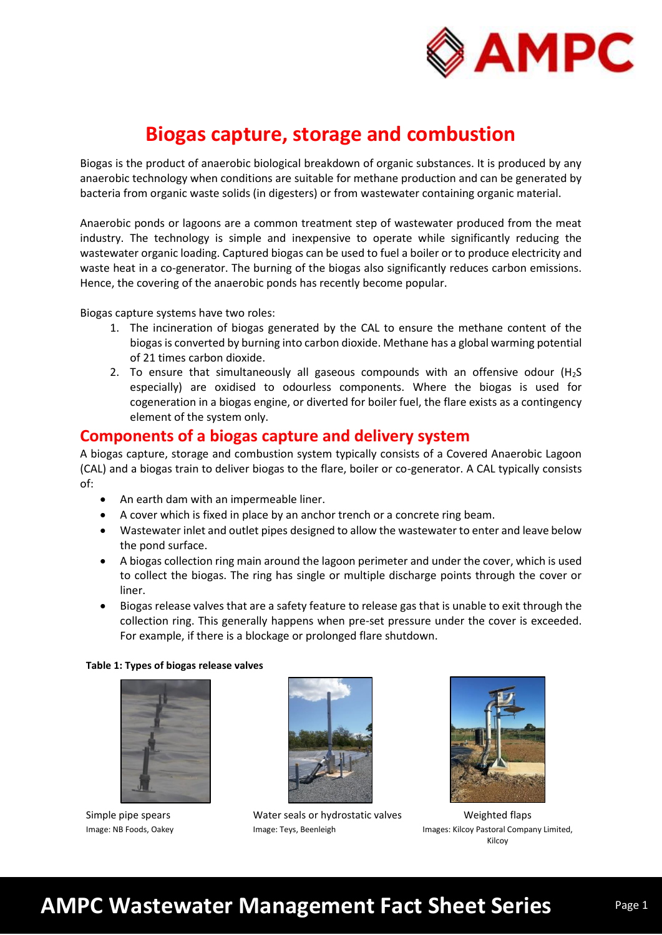

## **Biogas capture, storage and combustion**

Biogas is the product of anaerobic biological breakdown of organic substances. It is produced by any anaerobic technology when conditions are suitable for methane production and can be generated by bacteria from organic waste solids (in digesters) or from wastewater containing organic material.

Anaerobic ponds or lagoons are a common treatment step of wastewater produced from the meat industry. The technology is simple and inexpensive to operate while significantly reducing the wastewater organic loading. Captured biogas can be used to fuel a boiler or to produce electricity and waste heat in a co-generator. The burning of the biogas also significantly reduces carbon emissions. Hence, the covering of the anaerobic ponds has recently become popular.

Biogas capture systems have two roles:

- 1. The incineration of biogas generated by the CAL to ensure the methane content of the biogas is converted by burning into carbon dioxide. Methane has a global warming potential of 21 times carbon dioxide.
- 2. To ensure that simultaneously all gaseous compounds with an offensive odour  $(H<sub>2</sub>S)$ especially) are oxidised to odourless components. Where the biogas is used for cogeneration in a biogas engine, or diverted for boiler fuel, the flare exists as a contingency element of the system only.

### **Components of a biogas capture and delivery system**

A biogas capture, storage and combustion system typically consists of a Covered Anaerobic Lagoon (CAL) and a biogas train to deliver biogas to the flare, boiler or co-generator. A CAL typically consists of:

- An earth dam with an impermeable liner.
- A cover which is fixed in place by an anchor trench or a concrete ring beam.
- Wastewater inlet and outlet pipes designed to allow the wastewater to enter and leave below the pond surface.
- A biogas collection ring main around the lagoon perimeter and under the cover, which is used to collect the biogas. The ring has single or multiple discharge points through the cover or liner.
- Biogas release valves that are a safety feature to release gas that is unable to exit through the collection ring. This generally happens when pre-set pressure under the cover is exceeded. For example, if there is a blockage or prolonged flare shutdown.

#### **Table 1: Types of biogas release valves**



Simple pipe spears Image: NB Foods, Oakey



Water seals or hydrostatic valves Image: Teys, Beenleigh



Weighted flaps Images: Kilcoy Pastoral Company Limited, Kilcoy

# **AMPC Wastewater Management Fact Sheet Series**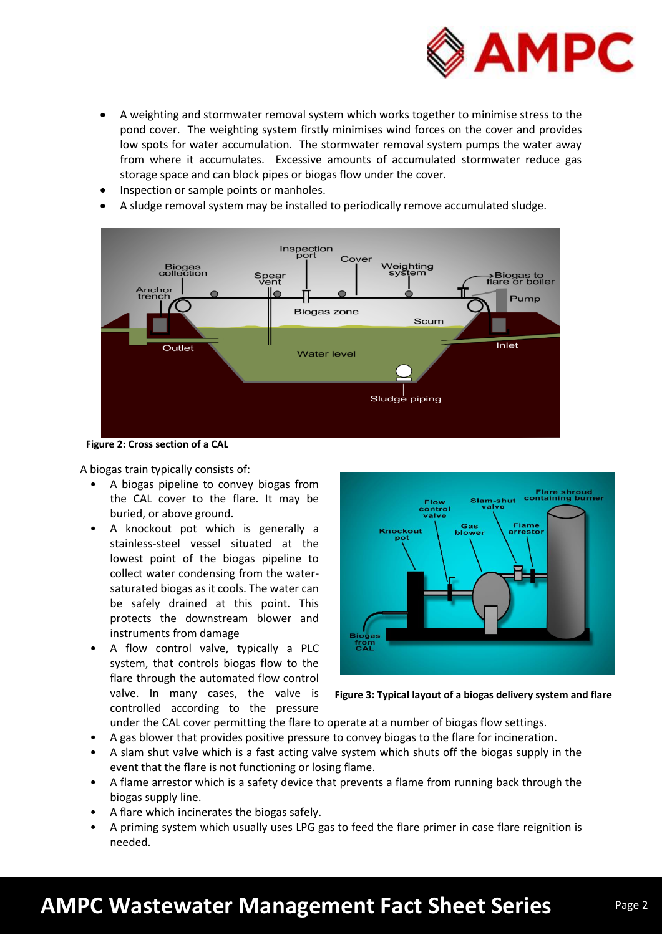

- A weighting and stormwater removal system which works together to minimise stress to the pond cover. The weighting system firstly minimises wind forces on the cover and provides low spots for water accumulation. The stormwater removal system pumps the water away from where it accumulates. Excessive amounts of accumulated stormwater reduce gas storage space and can block pipes or biogas flow under the cover.
- Inspection or sample points or manholes.
- A sludge removal system may be installed to periodically remove accumulated sludge.



**Figure 2: Cross section of a CAL** 

A biogas train typically consists of:

- A biogas pipeline to convey biogas from the CAL cover to the flare. It may be buried, or above ground.
- A knockout pot which is generally a stainless-steel vessel situated at the lowest point of the biogas pipeline to collect water condensing from the watersaturated biogas as it cools. The water can be safely drained at this point. This protects the downstream blower and instruments from damage
- A flow control valve, typically a PLC system, that controls biogas flow to the flare through the automated flow control valve. In many cases, the valve is controlled according to the pressure



**Figure 3: Typical layout of a biogas delivery system and flare**

- under the CAL cover permitting the flare to operate at a number of biogas flow settings.
- A gas blower that provides positive pressure to convey biogas to the flare for incineration.
- A slam shut valve which is a fast acting valve system which shuts off the biogas supply in the event that the flare is not functioning or losing flame.
- A flame arrestor which is a safety device that prevents a flame from running back through the biogas supply line.
- A flare which incinerates the biogas safely.
- A priming system which usually uses LPG gas to feed the flare primer in case flare reignition is needed.

# **AMPC Wastewater Management Fact Sheet Series**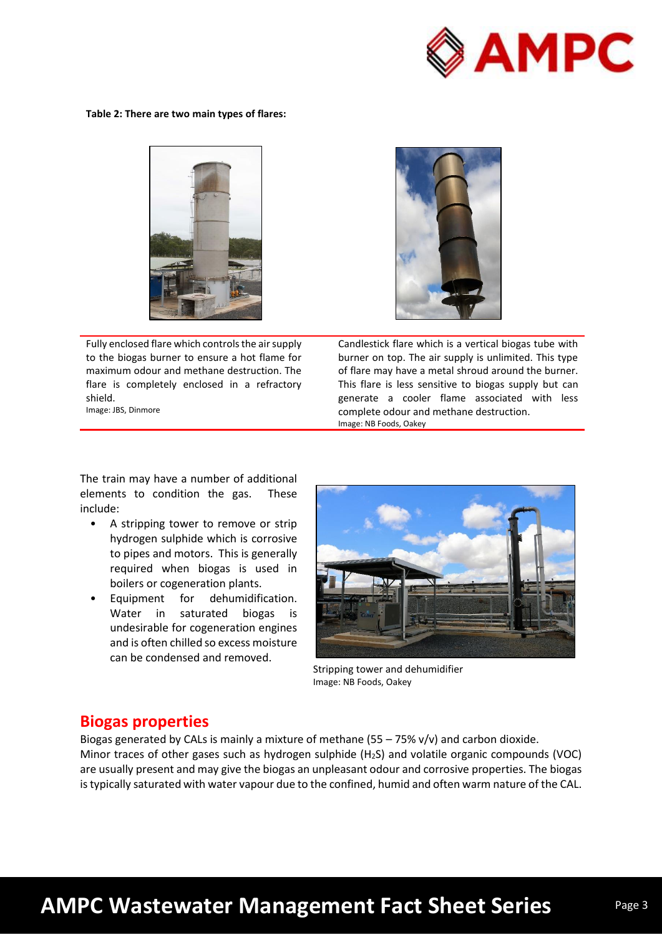

**Table 2: There are two main types of flares:**



Fully enclosed flare which controls the air supply to the biogas burner to ensure a hot flame for maximum odour and methane destruction. The flare is completely enclosed in a refractory shield. Image: JBS, Dinmore

Candlestick flare which is a vertical biogas tube with burner on top. The air supply is unlimited. This type of flare may have a metal shroud around the burner. This flare is less sensitive to biogas supply but can generate a cooler flame associated with less complete odour and methane destruction. Image: NB Foods, Oakey

The train may have a number of additional elements to condition the gas. These include:

- A stripping tower to remove or strip hydrogen sulphide which is corrosive to pipes and motors. This is generally required when biogas is used in boilers or cogeneration plants.
- Equipment for dehumidification. Water in saturated biogas is undesirable for cogeneration engines and is often chilled so excess moisture can be condensed and removed.



Stripping tower and dehumidifier Image: NB Foods, Oakey

### **Biogas properties**

Biogas generated by CALs is mainly a mixture of methane (55 – 75% v/v) and carbon dioxide. Minor traces of other gases such as hydrogen sulphide (H<sub>2</sub>S) and volatile organic compounds (VOC) are usually present and may give the biogas an unpleasant odour and corrosive properties. The biogas is typically saturated with water vapour due to the confined, humid and often warm nature of the CAL.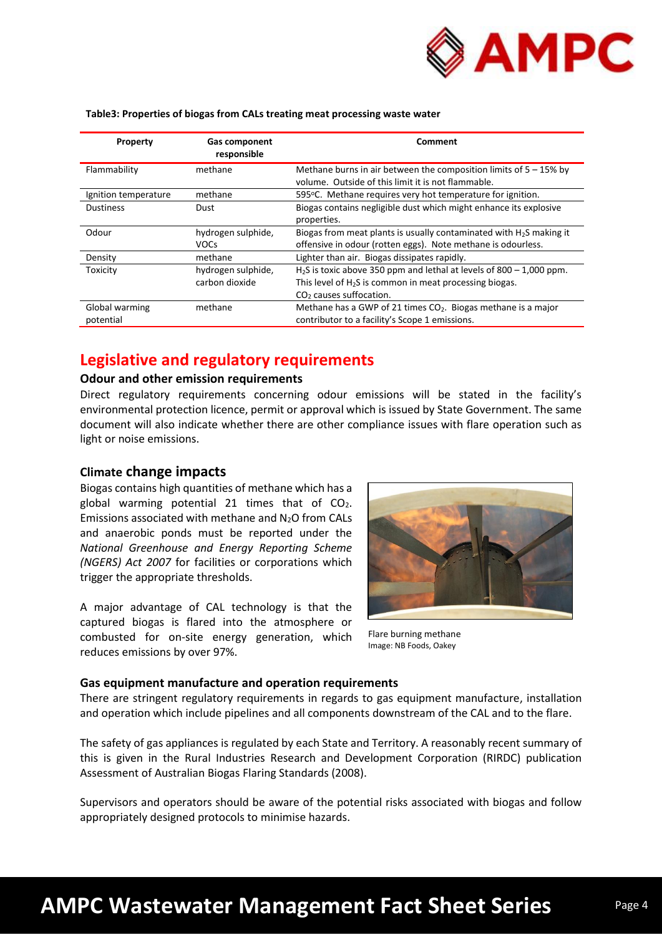

#### **Table3: Properties of biogas from CALs treating meat processing waste water**

| Property                    | <b>Gas component</b><br>responsible  | Comment                                                                                                                                                                   |
|-----------------------------|--------------------------------------|---------------------------------------------------------------------------------------------------------------------------------------------------------------------------|
| Flammability                | methane                              | Methane burns in air between the composition limits of $5 - 15\%$ by<br>volume. Outside of this limit it is not flammable.                                                |
| Ignition temperature        | methane                              | 595 °C. Methane requires very hot temperature for ignition.                                                                                                               |
| <b>Dustiness</b>            | Dust                                 | Biogas contains negligible dust which might enhance its explosive<br>properties.                                                                                          |
| Odour                       | hydrogen sulphide,<br><b>VOCs</b>    | Biogas from meat plants is usually contaminated with $H_2S$ making it<br>offensive in odour (rotten eggs). Note methane is odourless.                                     |
| Density                     | methane                              | Lighter than air. Biogas dissipates rapidly.                                                                                                                              |
| Toxicity                    | hydrogen sulphide,<br>carbon dioxide | $H2S$ is toxic above 350 ppm and lethal at levels of 800 – 1,000 ppm.<br>This level of $H_2S$ is common in meat processing biogas.<br>CO <sub>2</sub> causes suffocation. |
| Global warming<br>potential | methane                              | Methane has a GWP of 21 times $CO2$ . Biogas methane is a major<br>contributor to a facility's Scope 1 emissions.                                                         |

### **Legislative and regulatory requirements**

#### **Odour and other emission requirements**

Direct regulatory requirements concerning odour emissions will be stated in the facility's environmental protection licence, permit or approval which is issued by State Government. The same document will also indicate whether there are other compliance issues with flare operation such as light or noise emissions.

#### **Climate change impacts**

Biogas contains high quantities of methane which has a global warming potential 21 times that of  $CO<sub>2</sub>$ . Emissions associated with methane and  $N_2O$  from CALs and anaerobic ponds must be reported under the *National Greenhouse and Energy Reporting Scheme (NGERS) Act 2007* for facilities or corporations which trigger the appropriate thresholds.

A major advantage of CAL technology is that the captured biogas is flared into the atmosphere or combusted for on-site energy generation, which reduces emissions by over 97%.



Flare burning methane Image: NB Foods, Oakey

#### **Gas equipment manufacture and operation requirements**

There are stringent regulatory requirements in regards to gas equipment manufacture, installation and operation which include pipelines and all components downstream of the CAL and to the flare.

The safety of gas appliances is regulated by each State and Territory. A reasonably recent summary of this is given in the Rural Industries Research and Development Corporation (RIRDC) publication Assessment of Australian Biogas Flaring Standards (2008).

Supervisors and operators should be aware of the potential risks associated with biogas and follow appropriately designed protocols to minimise hazards.

# **AMPC Wastewater Management Fact Sheet Series**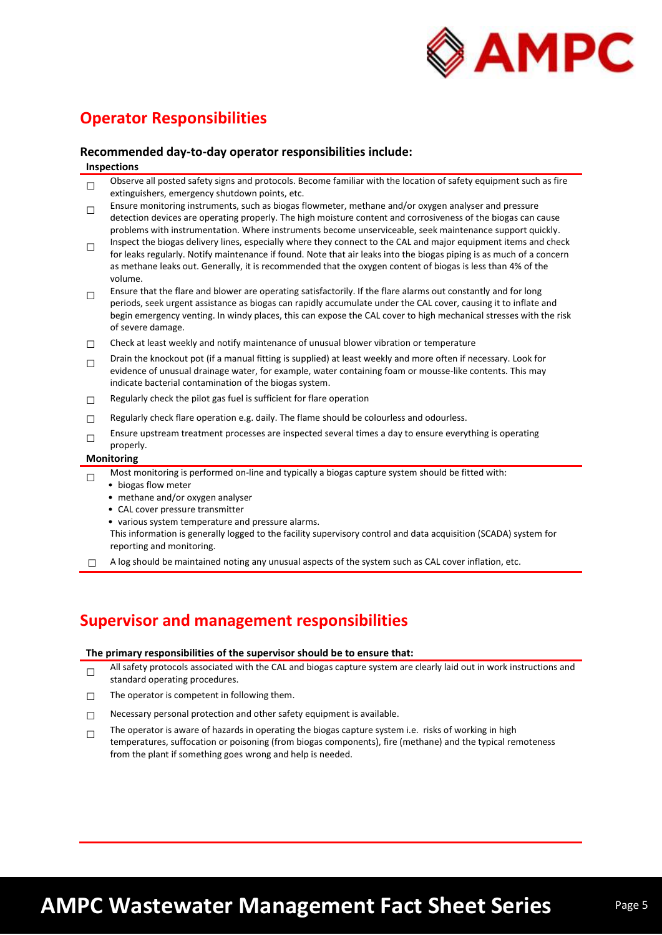

## **Operator Responsibilities**

#### **Recommended day-to-day operator responsibilities include:**

#### **Inspections**

- $\Box$ Observe all posted safety signs and protocols. Become familiar with the location of safety equipment such as fire extinguishers, emergency shutdown points, etc.
- $\Box$ Ensure monitoring instruments, such as biogas flowmeter, methane and/or oxygen analyser and pressure detection devices are operating properly. The high moisture content and corrosiveness of the biogas can cause problems with instrumentation. Where instruments become unserviceable, seek maintenance support quickly.
- □ Inspect the biogas delivery lines, especially where they connect to the CAL and major equipment items and check for leaks regularly. Notify maintenance if found. Note that air leaks into the biogas piping is as much of a concern as methane leaks out. Generally, it is recommended that the oxygen content of biogas is less than 4% of the volume.
- □ Ensure that the flare and blower are operating satisfactorily. If the flare alarms out constantly and for long periods, seek urgent assistance as biogas can rapidly accumulate under the CAL cover, causing it to inflate and begin emergency venting. In windy places, this can expose the CAL cover to high mechanical stresses with the risk of severe damage.
- $\Box$  Check at least weekly and notify maintenance of unusual blower vibration or temperature
- □ Drain the knockout pot (if a manual fitting is supplied) at least weekly and more often if necessary. Look for evidence of unusual drainage water, for example, water containing foam or mousse-like contents. This may indicate bacterial contamination of the biogas system.
- $\Box$  Regularly check the pilot gas fuel is sufficient for flare operation
- $\Box$  Regularly check flare operation e.g. daily. The flame should be colourless and odourless.
- □ Ensure upstream treatment processes are inspected several times a day to ensure everything is operating properly.

#### **Monitoring**

- □ Most monitoring is performed on-line and typically a biogas capture system should be fitted with:
	- biogas flow meter
	- methane and/or oxygen analyser
	- CAL cover pressure transmitter
	- various system temperature and pressure alarms.

This information is generally logged to the facility supervisory control and data acquisition (SCADA) system for reporting and monitoring.

 $\Box$  A log should be maintained noting any unusual aspects of the system such as CAL cover inflation, etc.

## **Supervisor and management responsibilities**

#### **The primary responsibilities of the supervisor should be to ensure that:**

- □ All safety protocols associated with the CAL and biogas capture system are clearly laid out in work instructions and standard operating procedures.
- $\Box$  The operator is competent in following them.
- $\Box$  Necessary personal protection and other safety equipment is available.
- □ The operator is aware of hazards in operating the biogas capture system i.e. risks of working in high
- temperatures, suffocation or poisoning (from biogas components), fire (methane) and the typical remoteness from the plant if something goes wrong and help is needed.